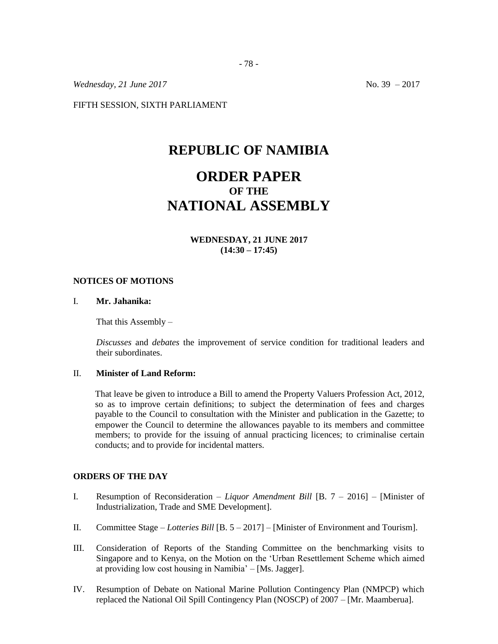*Wednesday, 21 June 2017* No. 39 – 2017

FIFTH SESSION, SIXTH PARLIAMENT

## **REPUBLIC OF NAMIBIA**

# **ORDER PAPER OF THE NATIONAL ASSEMBLY**

**WEDNESDAY, 21 JUNE 2017 (14:30 – 17:45)**

#### **NOTICES OF MOTIONS**

## I. **Mr. Jahanika:**

That this Assembly –

*Discusses* and *debates* the improvement of service condition for traditional leaders and their subordinates.

#### II. **Minister of Land Reform:**

That leave be given to introduce a Bill to amend the Property Valuers Profession Act, 2012, so as to improve certain definitions; to subject the determination of fees and charges payable to the Council to consultation with the Minister and publication in the Gazette; to empower the Council to determine the allowances payable to its members and committee members; to provide for the issuing of annual practicing licences; to criminalise certain conducts; and to provide for incidental matters.

#### **ORDERS OF THE DAY**

- I. Resumption of Reconsideration *– Liquor Amendment Bill* [B. 7 2016] [Minister of Industrialization, Trade and SME Development].
- II. Committee Stage *Lotteries Bill* [B. 5 2017] [Minister of Environment and Tourism].
- III. Consideration of Reports of the Standing Committee on the benchmarking visits to Singapore and to Kenya, on the Motion on the 'Urban Resettlement Scheme which aimed at providing low cost housing in Namibia' – [Ms. Jagger].
- IV. Resumption of Debate on National Marine Pollution Contingency Plan (NMPCP) which replaced the National Oil Spill Contingency Plan (NOSCP) of 2007 – [Mr. Maamberua].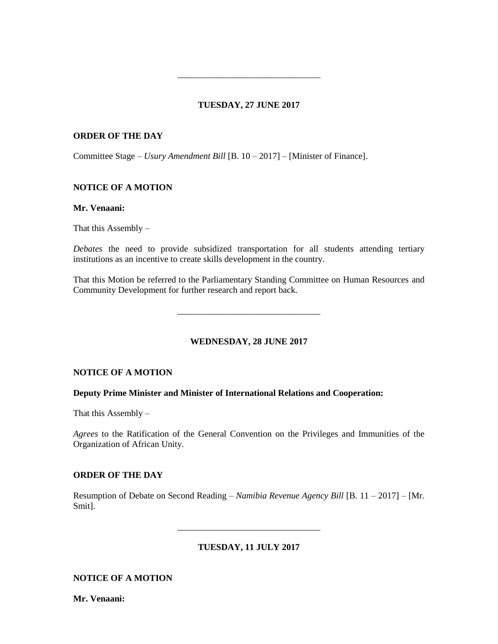## **TUESDAY, 27 JUNE 2017**

\_\_\_\_\_\_\_\_\_\_\_\_\_\_\_\_\_\_\_\_\_\_\_\_\_\_\_\_\_\_\_\_

## **ORDER OF THE DAY**

Committee Stage – *Usury Amendment Bill* [B. 10 – 2017] – [Minister of Finance].

## **NOTICE OF A MOTION**

#### **Mr. Venaani:**

That this Assembly –

*Debates* the need to provide subsidized transportation for all students attending tertiary institutions as an incentive to create skills development in the country.

That this Motion be referred to the Parliamentary Standing Committee on Human Resources and Community Development for further research and report back.

\_\_\_\_\_\_\_\_\_\_\_\_\_\_\_\_\_\_\_\_\_\_\_\_\_\_\_\_\_\_\_\_

**WEDNESDAY, 28 JUNE 2017**

#### **NOTICE OF A MOTION**

#### **Deputy Prime Minister and Minister of International Relations and Cooperation:**

That this Assembly –

*Agrees* to the Ratification of the General Convention on the Privileges and Immunities of the Organization of African Unity.

### **ORDER OF THE DAY**

Resumption of Debate on Second Reading – *Namibia Revenue Agency Bill* [B. 11 – 2017] – [Mr. Smit].

**TUESDAY, 11 JULY 2017**

\_\_\_\_\_\_\_\_\_\_\_\_\_\_\_\_\_\_\_\_\_\_\_\_\_\_\_\_\_\_\_\_

**NOTICE OF A MOTION**

**Mr. Venaani:**